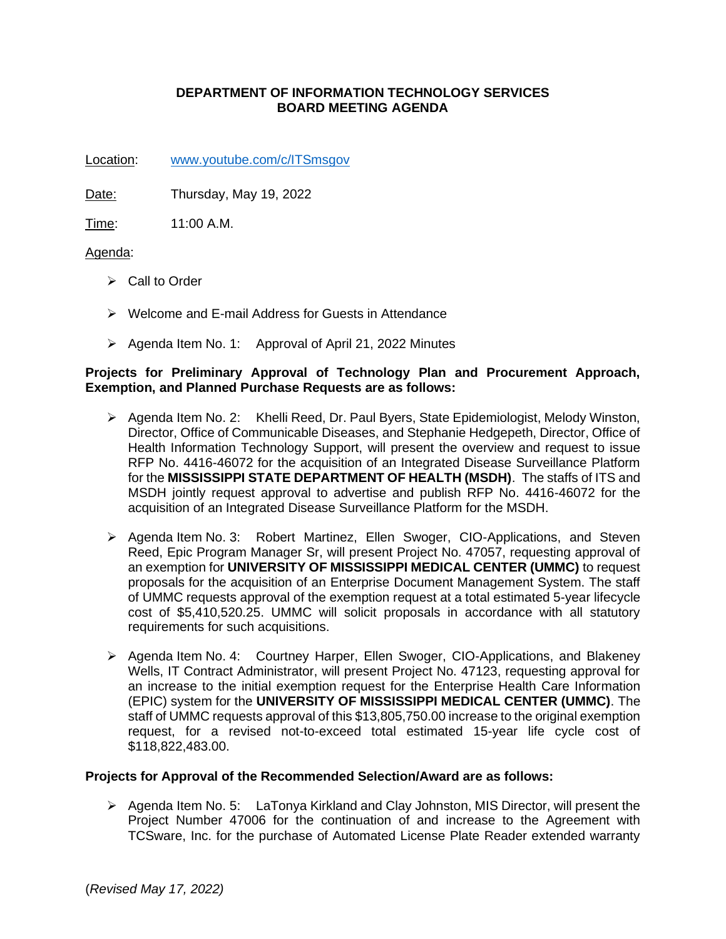# **DEPARTMENT OF INFORMATION TECHNOLOGY SERVICES BOARD MEETING AGENDA**

Location: [www.youtube.com/c/ITSmsgov](http://www.youtube.com/c/ITSmsgov)

Date: Thursday, May 19, 2022

Time: 11:00 A.M.

## Agenda:

- ➢ Call to Order
- ➢ Welcome and E-mail Address for Guests in Attendance
- ➢ Agenda Item No. 1: Approval of April 21, 2022 Minutes

## **Projects for Preliminary Approval of Technology Plan and Procurement Approach, Exemption, and Planned Purchase Requests are as follows:**

- ➢ Agenda Item No. 2: Khelli Reed, Dr. Paul Byers, State Epidemiologist, Melody Winston, Director, Office of Communicable Diseases, and Stephanie Hedgepeth, Director, Office of Health Information Technology Support, will present the overview and request to issue RFP No. 4416-46072 for the acquisition of an Integrated Disease Surveillance Platform for the **MISSISSIPPI STATE DEPARTMENT OF HEALTH (MSDH)**. The staffs of ITS and MSDH jointly request approval to advertise and publish RFP No. 4416-46072 for the acquisition of an Integrated Disease Surveillance Platform for the MSDH.
- ➢ Agenda Item No. 3: Robert Martinez, Ellen Swoger, CIO-Applications, and Steven Reed, Epic Program Manager Sr, will present Project No. 47057, requesting approval of an exemption for **UNIVERSITY OF MISSISSIPPI MEDICAL CENTER (UMMC)** to request proposals for the acquisition of an Enterprise Document Management System. The staff of UMMC requests approval of the exemption request at a total estimated 5-year lifecycle cost of \$5,410,520.25. UMMC will solicit proposals in accordance with all statutory requirements for such acquisitions.
- ➢ Agenda Item No. 4: Courtney Harper, Ellen Swoger, CIO-Applications, and Blakeney Wells, IT Contract Administrator, will present Project No. 47123, requesting approval for an increase to the initial exemption request for the Enterprise Health Care Information (EPIC) system for the **UNIVERSITY OF MISSISSIPPI MEDICAL CENTER (UMMC)**. The staff of UMMC requests approval of this \$13,805,750.00 increase to the original exemption request, for a revised not-to-exceed total estimated 15-year life cycle cost of \$118,822,483.00.

### **Projects for Approval of the Recommended Selection/Award are as follows:**

➢ Agenda Item No. 5: LaTonya Kirkland and Clay Johnston, MIS Director, will present the Project Number 47006 for the continuation of and increase to the Agreement with TCSware, Inc. for the purchase of Automated License Plate Reader extended warranty